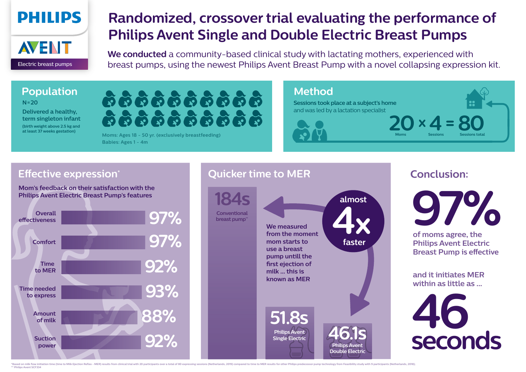

# **Randomized, crossover trial evaluating the performance of Philips Avent Single and Double Electric Breast Pumps**

**We conducted** a community-based clinical study with lactating mothers, experienced with breast pumps, using the newest Philips Avent Breast Pump with a novel collapsing expression kit.

## **Population N=20**

**Delivered a healthy, term singleton infant (birth weight above 2.5 kg and at least 37 weeks gestation)**

န် နှင့် နှင့် နှင့် နှင့် နှင့် နှ  $\sum_{i=1}^{n}$ 

## **Method**

**Sessions took place at a subject's home**  and was led by a lactation specialist



## **Conclusion:**

**of moms agree, the Philips Avent Electric Breast Pump is effective** 



**Mom's feedback on their satisfaction with the Philips Avent Electric Breast Pump's features**

\*Based on milk flow initiation time (time to Milk Eiection Reflex - MER) results from clinical trial with 20 participants over a total of 80 expressing sessions (Netherlands, 2019) compared to time to MER results for other **\*\* Philips Avent SCF334**





**and it initiates MER within as little as ...**

### **We measured from the moment mom starts to use a breast pump untill the**  first ejection of **milk ... this is known as MER Philips Avent Single Electric 51.8s Philips Avent Double Electric 46.1s 184s Conventional breast pump\*\* 4 faster x almost**

Electric breast pumps

**AVENT** 



# **Effective expression\* CEFEC 2016 Quicker time to MER**



**Moms: Ages 18 - 50 yr. (exclusively breastfeeding) Babies: Ages 1 - 4m**